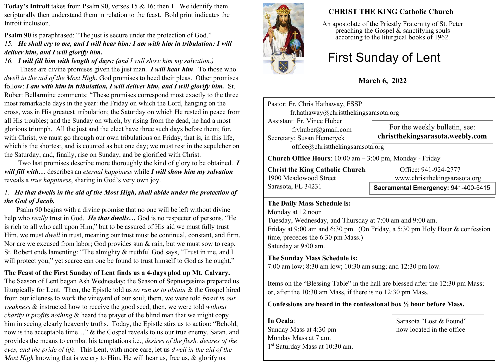**Today's Introit** takes from Psalm 90, verses 15 & 16; then 1. We identify them scripturally then understand them in relation to the feast. Bold print indicates the Introit inclusion.

# **Psalm 90** is paraphrased: "The just is secure under the protection of God." *15. He shall cry to me, and I will hear him: I am with him in tribulation: I will deliver him, and I will glorify him.*

*16. I will fill him with length of days: (and I will show him my salvation.)*

 These are divine promises given the just man. *I will hear him*. To those who *dwell in the aid of the Most High*, God promises to heed their pleas. Other promises follow: *I am with him in tribulation, I will deliver him, and I will glorify him.* St. Robert Bellarmine comments: "These promises correspond most exactly to the three most remarkable days in the year: the Friday on which the Lord, hanging on the cross, was in His greatest tribulation; the Saturday on which He rested in peace from all His troubles; and the Sunday on which, by rising from the dead, he had a most glorious triumph. All the just and the elect have three such days before them; for, with Christ, we must go through our own tribulations on Friday, that is, in this life, which is the shortest, and is counted as but one day; we must rest in the sepulcher on the Saturday; and, finally, rise on Sunday, and be glorified with Christ.

 Two last promises describe more thoroughly the kind of glory to be obtained. *I will fill with…* describes an *eternal happiness* while *I will show him my salvation* reveals a *true happiness*, sharing in God's very own joy.

# *1. He that dwells in the aid of the Most High, shall abide under the protection of the God of Jacob.*

 Psalm 90 begins with a divine promise that no one will be left without divine help who *really* trust in God. *He that dwells…* God is no respecter of persons, "He is rich to all who call upon Him," but to be assured of His aid we must fully trust Him, we must *dwell* in trust, meaning our trust must be continual, constant, and firm. Nor are we excused from labor; God provides sun & rain, but we must sow to reap. St. Robert ends lamenting: "The almighty & truthful God says, "Trust in me, and I will protect you," yet scarce can one be found to trust himself to God as he ought."

# **The Feast of the First Sunday of Lent finds us a 4-days plod up Mt. Calvary.**

The Season of Lent began Ash Wednesday; the Season of Septuagesima prepared us liturgically for Lent. Then, the Epistle told us *so run as to obtain* & the Gospel hired from our idleness to work the vineyard of our soul; them, we were told *boast in our weakness* & instructed how to receive the good seed; then, we were told *without charity it profits nothing* & heard the prayer of the blind man that we might copy him in seeing clearly heavenly truths. Today, the Epistle stirs us to action: "Behold, now is the acceptable time…" & the Gospel reveals to us our true enemy, Satan, and provides the means to combat his temptations i.e., *desires of the flesh, desires of the eyes, and the pride of life.* This Lent, with more care, let us *dwell in the aid of the Most High* knowing that is we cry to Him, He will hear us, free us, & glorify us.



# **CHRIST THE KING Catholic Church**

An apostolate of the Priestly Fraternity of St. Peter preaching the Gospel  $\&$  sanctifying souls according to the liturgical books of 1962.

# First Sunday of Lent

**March 6, 2022**

Pastor: Fr. Chris Hathaway, FSSP fr.hathaway@christthekingsarasota.org Assistant: Fr. Vince Huber frvhuber@gmail.com Secretary: Susan Hemeryck office@christthekingsarasota.org **Church Office Hours**: 10:00 am – 3:00 pm, Monday - Friday **Christ the King Catholic Church.** Office: 941-924-2777 For the weekly bulletin, see: **christthekingsarasota.weebly.com**

Sarasota, FL 34231

1900 Meadowood Street www.christthekingsarasota.org

# **Sacramental Emergency:** 941-400-5415

#### **The Daily Mass Schedule is:**

Monday at 12 noon Tuesday, Wednesday, and Thursday at 7:00 am and 9:00 am. Friday at 9:00 am and 6:30 pm. (On Friday, a 5:30 pm Holy Hour & confession time, precedes the 6:30 pm Mass.) Saturday at 9:00 am.

#### **The Sunday Mass Schedule is:**

7:00 am low; 8:30 am low; 10:30 am sung; and 12:30 pm low.

Items on the "Blessing Table" in the hall are blessed after the 12:30 pm Mass; or, after the 10:30 am Mass, if there is no 12:30 pm Mass.

#### **Confessions are heard in the confessional box ½ hour before Mass.**

**In Ocala**: Sunday Mass at 4:30 pm Monday Mass at 7 am. 1 st Saturday Mass at 10:30 am.

Sarasota "Lost & Found" now located in the office